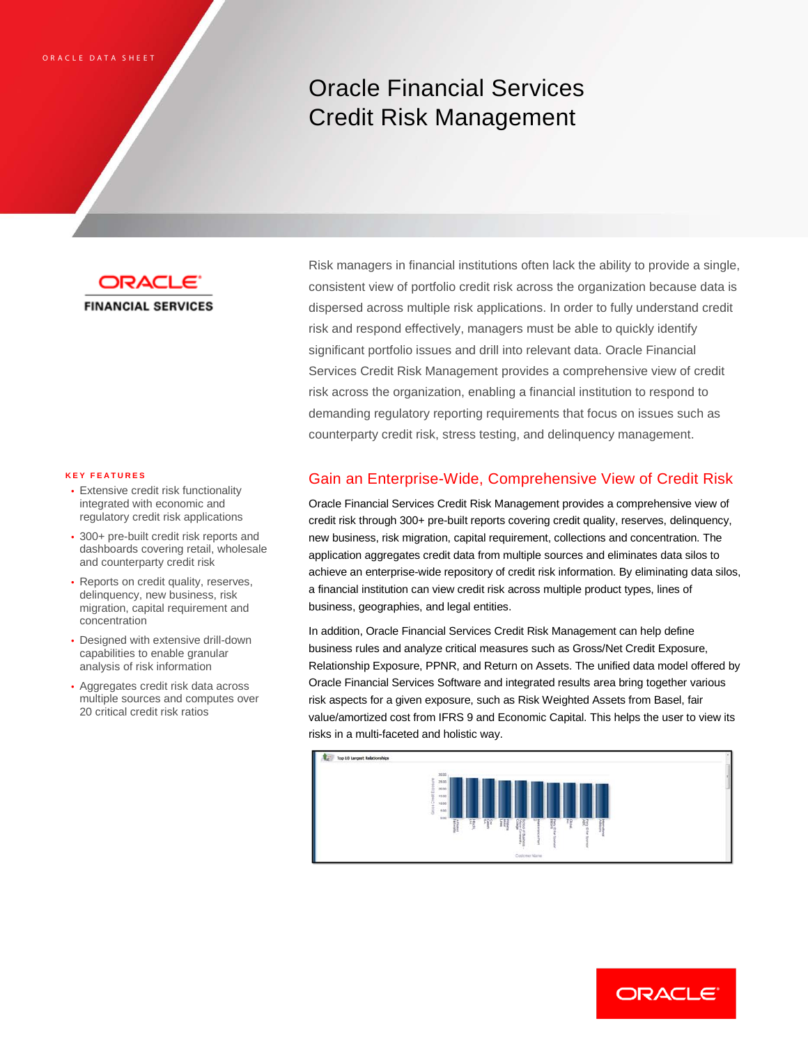# Oracle Financial Services Credit Risk Management

ORACL **FINANCIAL SERVICES** 

#### **KEY FEATURES**

- Extensive credit risk functionality integrated with economic and regulatory credit risk applications
- 300+ pre-built credit risk reports and dashboards covering retail, wholesale and counterparty credit risk
- Reports on credit quality, reserves, delinquency, new business, risk migration, capital requirement and concentration
- Designed with extensive drill-down capabilities to enable granular analysis of risk information
- Aggregates credit risk data across multiple sources and computes over 20 critical credit risk ratios

Risk managers in financial institutions often lack the ability to provide a single, consistent view of portfolio credit risk across the organization because data is dispersed across multiple risk applications. In order to fully understand credit risk and respond effectively, managers must be able to quickly identify significant portfolio issues and drill into relevant data. Oracle Financial Services Credit Risk Management provides a comprehensive view of credit risk across the organization, enabling a financial institution to respond to demanding regulatory reporting requirements that focus on issues such as counterparty credit risk, stress testing, and delinquency management.

## Gain an Enterprise-Wide, Comprehensive View of Credit Risk

Oracle Financial Services Credit Risk Management provides a comprehensive view of credit risk through 300+ pre-built reports covering credit quality, reserves, delinquency, new business, risk migration, capital requirement, collections and concentration. The application aggregates credit data from multiple sources and eliminates data silos to achieve an enterprise-wide repository of credit risk information. By eliminating data silos, a financial institution can view credit risk across multiple product types, lines of business, geographies, and legal entities.

In addition, Oracle Financial Services Credit Risk Management can help define business rules and analyze critical measures such as Gross/Net Credit Exposure, Relationship Exposure, PPNR, and Return on Assets. The unified data model offered by Oracle Financial Services Software and integrated results area bring together various risk aspects for a given exposure, such as Risk Weighted Assets from Basel, fair value/amortized cost from IFRS 9 and Economic Capital. This helps the user to view its risks in a multi-faceted and holistic way.



ORACLE<sup>®</sup>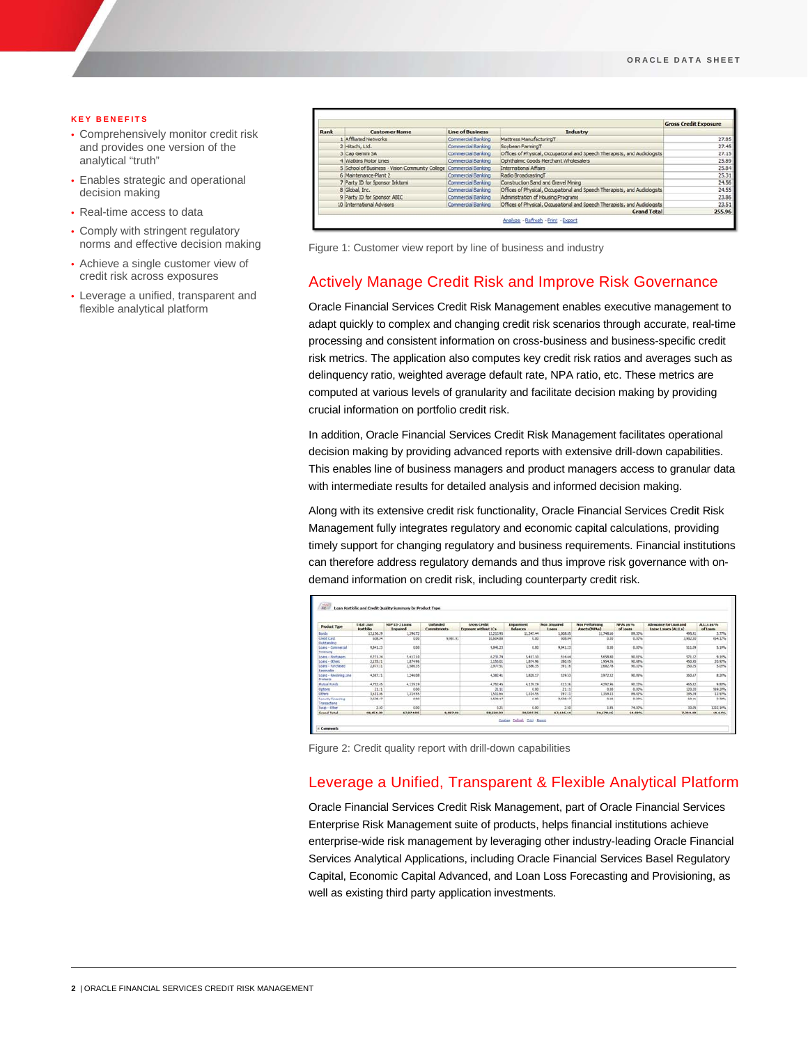#### **KEY BENEFITS**

- Comprehensively monitor credit risk and provides one version of the analytical "truth"
- Enables strategic and operational decision making
- Real-time access to data
- Comply with stringent regulatory norms and effective decision making
- Achieve a single customer view of credit risk across exposures
- Leverage a unified, transparent and flexible analytical platform

|      |                                                                    |                    |                                                                           | <b>Gross Credit Exposure</b> |
|------|--------------------------------------------------------------------|--------------------|---------------------------------------------------------------------------|------------------------------|
| Rank | <b>Customer Name</b>                                               | Line of Business   | Industry                                                                  |                              |
|      | Affiliated Networks                                                | Commercial Banking | Mattress ManufacturingT                                                   | 27.85                        |
|      | 2 Hitachi, Ltd.                                                    | Commercial Banking | Soybean FarmingT                                                          | 27.45                        |
|      | 3 Cap Gemini SA                                                    | Commercial Banking | Offices of Physical, Occupational and Speech Therapists, and Audiologists | 27.15                        |
|      | 4 Watkins Motor Lines                                              | Commercial Banking | Ophthalmic Goods Merchant Wholesalers                                     | 25.89                        |
|      | 5 School of Business - Vision Community College Commercial Banking |                    | International Affairs                                                     | 25.84                        |
|      | 6 Maintenance-Plant 2                                              | Commercial Banking | Radio BroadcastingT                                                       | 25.31                        |
|      | 7 Party ID for Sponsor Inktomi                                     | Commercial Banking | Construction Sand and Gravel Mining                                       | 24.56                        |
|      | 8 Global, Inc.                                                     | Commercial Banking | Offices of Physical, Occupational and Soeech Therapists, and Audiologists | 24.55                        |
|      | 9 Party ID for Sponsor ABIC                                        | Commercial Banking | Administration of Housing Programs                                        | 23.86                        |
|      | 10 International Advisors                                          | Commercial Banking | Offices of Physical, Occupational and Speech Therapists, and Audiologists | 23.51                        |
|      |                                                                    |                    | <b>Grand Total</b>                                                        | 255.96                       |

Figure 1: Customer view report by line of business and industry

## Actively Manage Credit Risk and Improve Risk Governance

Oracle Financial Services Credit Risk Management enables executive management to adapt quickly to complex and changing credit risk scenarios through accurate, real-time processing and consistent information on cross-business and business-specific credit risk metrics. The application also computes key credit risk ratios and averages such as delinquency ratio, weighted average default rate, NPA ratio, etc. These metrics are computed at various levels of granularity and facilitate decision making by providing crucial information on portfolio credit risk.

In addition, Oracle Financial Services Credit Risk Management facilitates operational decision making by providing advanced reports with extensive drill-down capabilities. This enables line of business managers and product managers access to granular data with intermediate results for detailed analysis and informed decision making.

Along with its extensive credit risk functionality, Oracle Financial Services Credit Risk Management fully integrates regulatory and economic capital calculations, providing timely support for changing regulatory and business requirements. Financial institutions can therefore address regulatory demands and thus improve risk governance with ondemand information on credit risk, including counterparty credit risk.

|                                                         | <b>Extal Loan</b> | <b>NOP 03-3 LOADS</b> | <b>Unfunded</b> | Gross Credit         | <b>Impairment</b> | Non impaired | Non Performing | <b>NPAS 25 %</b> | Allowance for Loan and | ALL: La PO |
|---------------------------------------------------------|-------------------|-----------------------|-----------------|----------------------|-------------------|--------------|----------------|------------------|------------------------|------------|
| <b>Product Type</b>                                     | Portfolio         | <b>I</b> repaired     | Commitments     | Exposure without LCs | <b>Balances</b>   | Loans        | Assets (NPAs)  | of Learns        | Lease Losses (ALLLs)   | of Loans   |
| <b>Bonds</b>                                            | 13, 156.29        | 1,396.72              |                 | 13,213.95            | 11.347.44         | 1,008.85     | 11,748.56      | 99,30%           | 495.91                 | 3.77%      |
| <b>Credit Card</b><br>Outstanding                       | 608.94            | 0.00                  | 9,987.91        | 10,504.88            | 0.00              | 038.84       | 0.30           | 0.00%            | 3,982.50               | 654.12%    |
| Loans - Commercial<br>Financing                         | 9,841.23          | 0.00                  |                 | 9,841.21             | 0.00              | 0.041.22     | 0.30           | 0.00%            | 511.09                 | 5.19%      |
| Loans - Nortpages                                       | 6,211.34          | 5.417.10              |                 | 6,231.74             | 5.417.33          | 814.64       | 5,658.30       | 90,81%           | 521.12                 | \$16%      |
| Loans - Others                                          | 2,155.01          | 1,874.96              |                 | 2,155.81             | 1,834.96          | 280.05       | .954.26        | 90.68%           | 450.90                 | 20.92%     |
| Loans - Parchased<br>tecenable                          | 2,972.51          | 2.586.35              |                 | 2.877.56             | 2,586.95          | 291.16       | 1,642.78       | 90.10%           | 150.35                 | 3.0276     |
| Loans - Revolving Line<br>Products                      | 4,367.71          | 1,246.08              |                 | 4,382.41             | 3,826.17          | 539.53       | 3,972.32       | 90.95%           | 360.67                 | 8.24%      |
| <b>Hutual Funds</b>                                     | 4,752.45          | 4.139.19              |                 | 4,752.45             | 4.139.29          | E13.26       | 4.292.96       | 10.11%           | 465.82                 | 9.80%      |
| Options                                                 | 21.31             | 0.00                  |                 | 21.11                | 0.00              | 21.11        | 0.35           | 0.00%            | 120.20                 | 149.29%    |
| <b>Cithers</b>                                          | 3,511.66          | 1,314.55              |                 | 1,511.66             | 1,334.55          | 297.33       | 1,359.33       | 89.97%           | 285.29                 | 12.92%     |
| <b><i><u>Centurity Financing</u></i></b><br>ransactions | 3,528.17          | 8.88                  |                 | 2,528.17             | 6.09              | 2,528.17     | 6.35           | 8,00%            | 65.11                  | 3.38%      |
| Swap - Other                                            | 2.50              | 0.00                  |                 | 0.21                 | 0.00              | 2.50         | 1.85           | 74,00%           | 30.05                  | 1202.16%   |
| <b>Grund Total</b>                                      | 48.154.30         | 17,974.95             | 9,087.01        | 58,220.33            | 30,507.76         | 17,646.64    | 31.670.96      | 61.08%           | 7,364.00               | 14.14%     |

Figure 2: Credit quality report with drill-down capabilities

## Leverage a Unified, Transparent & Flexible Analytical Platform

Oracle Financial Services Credit Risk Management, part of Oracle Financial Services Enterprise Risk Management suite of products, helps financial institutions achieve enterprise-wide risk management by leveraging other industry-leading Oracle Financial Services Analytical Applications, including Oracle Financial Services Basel Regulatory Capital, Economic Capital Advanced, and Loan Loss Forecasting and Provisioning, as well as existing third party application investments.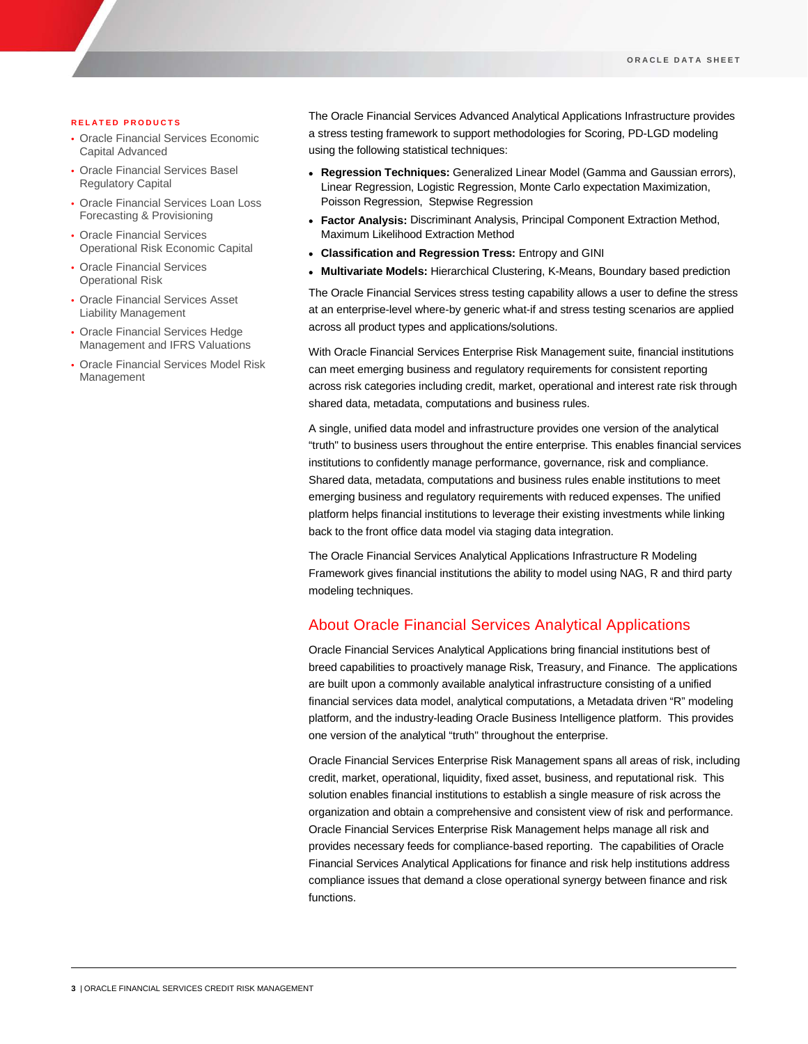#### **RELATED PRODUCTS**

- Oracle Financial Services Economic Capital Advanced
- Oracle Financial Services Basel Regulatory Capital
- Oracle Financial Services Loan Loss Forecasting & Provisioning
- Oracle Financial Services Operational Risk Economic Capital
- Oracle Financial Services Operational Risk
- Oracle Financial Services Asset Liability Management
- Oracle Financial Services Hedge Management and IFRS Valuations
- Oracle Financial Services Model Risk Management

The Oracle Financial Services Advanced Analytical Applications Infrastructure provides a stress testing framework to support methodologies for Scoring, PD-LGD modeling using the following statistical techniques:

- **Regression Techniques:** Generalized Linear Model (Gamma and Gaussian errors), Linear Regression, Logistic Regression, Monte Carlo expectation Maximization, Poisson Regression, Stepwise Regression
- **Factor Analysis:** Discriminant Analysis, Principal Component Extraction Method, Maximum Likelihood Extraction Method
- **Classification and Regression Tress:** Entropy and GINI
- **Multivariate Models:** Hierarchical Clustering, K-Means, Boundary based prediction

The Oracle Financial Services stress testing capability allows a user to define the stress at an enterprise-level where-by generic what-if and stress testing scenarios are applied across all product types and applications/solutions.

With Oracle Financial Services Enterprise Risk Management suite, financial institutions can meet emerging business and regulatory requirements for consistent reporting across risk categories including credit, market, operational and interest rate risk through shared data, metadata, computations and business rules.

A single, unified data model and infrastructure provides one version of the analytical "truth" to business users throughout the entire enterprise. This enables financial services institutions to confidently manage performance, governance, risk and compliance. Shared data, metadata, computations and business rules enable institutions to meet emerging business and regulatory requirements with reduced expenses. The unified platform helps financial institutions to leverage their existing investments while linking back to the front office data model via staging data integration.

The Oracle Financial Services Analytical Applications Infrastructure R Modeling Framework gives financial institutions the ability to model using NAG, R and third party modeling techniques.

# About Oracle Financial Services Analytical Applications

Oracle Financial Services Analytical Applications bring financial institutions best of breed capabilities to proactively manage Risk, Treasury, and Finance. The applications are built upon a commonly available analytical infrastructure consisting of a unified financial services data model, analytical computations, a Metadata driven "R" modeling platform, and the industry-leading Oracle Business Intelligence platform. This provides one version of the analytical "truth" throughout the enterprise.

Oracle Financial Services Enterprise Risk Management spans all areas of risk, including credit, market, operational, liquidity, fixed asset, business, and reputational risk. This solution enables financial institutions to establish a single measure of risk across the organization and obtain a comprehensive and consistent view of risk and performance. Oracle Financial Services Enterprise Risk Management helps manage all risk and provides necessary feeds for compliance-based reporting. The capabilities of Oracle Financial Services Analytical Applications for finance and risk help institutions address compliance issues that demand a close operational synergy between finance and risk functions.